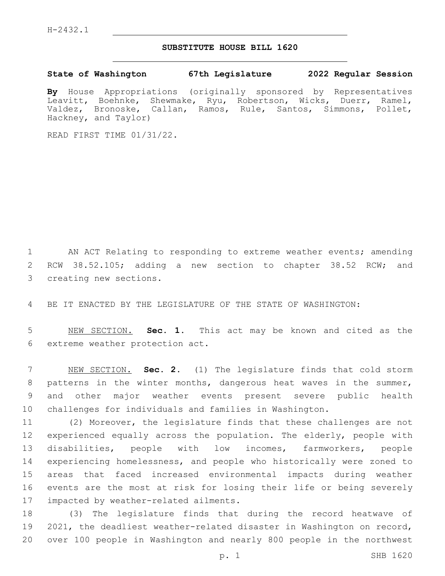## **SUBSTITUTE HOUSE BILL 1620**

**State of Washington 67th Legislature 2022 Regular Session**

**By** House Appropriations (originally sponsored by Representatives Leavitt, Boehnke, Shewmake, Ryu, Robertson, Wicks, Duerr, Ramel, Valdez, Bronoske, Callan, Ramos, Rule, Santos, Simmons, Pollet, Hackney, and Taylor)

READ FIRST TIME 01/31/22.

1 AN ACT Relating to responding to extreme weather events; amending 2 RCW 38.52.105; adding a new section to chapter 38.52 RCW; and 3 creating new sections.

4 BE IT ENACTED BY THE LEGISLATURE OF THE STATE OF WASHINGTON:

5 NEW SECTION. **Sec. 1.** This act may be known and cited as the 6 extreme weather protection act.

 NEW SECTION. **Sec. 2.** (1) The legislature finds that cold storm 8 patterns in the winter months, dangerous heat waves in the summer, and other major weather events present severe public health challenges for individuals and families in Washington.

 (2) Moreover, the legislature finds that these challenges are not experienced equally across the population. The elderly, people with disabilities, people with low incomes, farmworkers, people experiencing homelessness, and people who historically were zoned to areas that faced increased environmental impacts during weather events are the most at risk for losing their life or being severely 17 impacted by weather-related ailments.

18 (3) The legislature finds that during the record heatwave of 19 2021, the deadliest weather-related disaster in Washington on record, 20 over 100 people in Washington and nearly 800 people in the northwest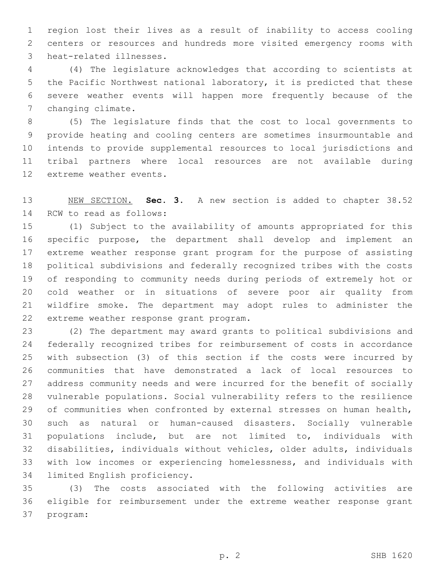region lost their lives as a result of inability to access cooling centers or resources and hundreds more visited emergency rooms with 3 heat-related illnesses.

 (4) The legislature acknowledges that according to scientists at the Pacific Northwest national laboratory, it is predicted that these severe weather events will happen more frequently because of the 7 changing climate.

 (5) The legislature finds that the cost to local governments to provide heating and cooling centers are sometimes insurmountable and intends to provide supplemental resources to local jurisdictions and tribal partners where local resources are not available during 12 extreme weather events.

 NEW SECTION. **Sec. 3.** A new section is added to chapter 38.52 14 RCW to read as follows:

 (1) Subject to the availability of amounts appropriated for this specific purpose, the department shall develop and implement an extreme weather response grant program for the purpose of assisting political subdivisions and federally recognized tribes with the costs of responding to community needs during periods of extremely hot or cold weather or in situations of severe poor air quality from wildfire smoke. The department may adopt rules to administer the 22 extreme weather response grant program.

 (2) The department may award grants to political subdivisions and federally recognized tribes for reimbursement of costs in accordance with subsection (3) of this section if the costs were incurred by communities that have demonstrated a lack of local resources to address community needs and were incurred for the benefit of socially vulnerable populations. Social vulnerability refers to the resilience 29 of communities when confronted by external stresses on human health, such as natural or human-caused disasters. Socially vulnerable populations include, but are not limited to, individuals with disabilities, individuals without vehicles, older adults, individuals with low incomes or experiencing homelessness, and individuals with 34 limited English proficiency.

 (3) The costs associated with the following activities are eligible for reimbursement under the extreme weather response grant 37 program: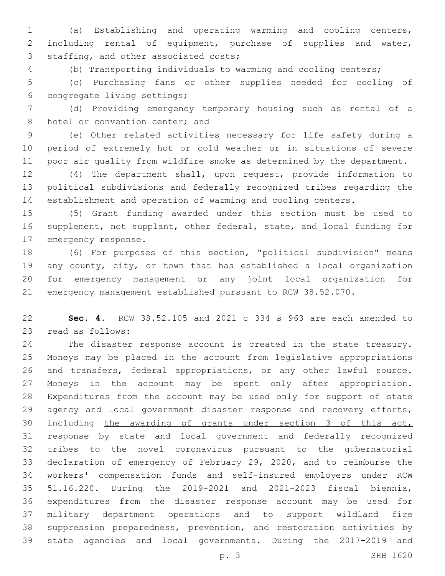(a) Establishing and operating warming and cooling centers, including rental of equipment, purchase of supplies and water, 3 staffing, and other associated costs;

(b) Transporting individuals to warming and cooling centers;

 (c) Purchasing fans or other supplies needed for cooling of 6 congregate living settings;

 (d) Providing emergency temporary housing such as rental of a 8 hotel or convention center; and

 (e) Other related activities necessary for life safety during a period of extremely hot or cold weather or in situations of severe poor air quality from wildfire smoke as determined by the department.

 (4) The department shall, upon request, provide information to political subdivisions and federally recognized tribes regarding the establishment and operation of warming and cooling centers.

 (5) Grant funding awarded under this section must be used to supplement, not supplant, other federal, state, and local funding for 17 emergency response.

 (6) For purposes of this section, "political subdivision" means any county, city, or town that has established a local organization for emergency management or any joint local organization for emergency management established pursuant to RCW 38.52.070.

 **Sec. 4.** RCW 38.52.105 and 2021 c 334 s 963 are each amended to 23 read as follows:

 The disaster response account is created in the state treasury. Moneys may be placed in the account from legislative appropriations and transfers, federal appropriations, or any other lawful source. Moneys in the account may be spent only after appropriation. Expenditures from the account may be used only for support of state 29 agency and local government disaster response and recovery efforts, including the awarding of grants under section 3 of this act, response by state and local government and federally recognized tribes to the novel coronavirus pursuant to the gubernatorial declaration of emergency of February 29, 2020, and to reimburse the workers' compensation funds and self-insured employers under RCW 51.16.220. During the 2019-2021 and 2021-2023 fiscal biennia, expenditures from the disaster response account may be used for military department operations and to support wildland fire suppression preparedness, prevention, and restoration activities by state agencies and local governments. During the 2017-2019 and